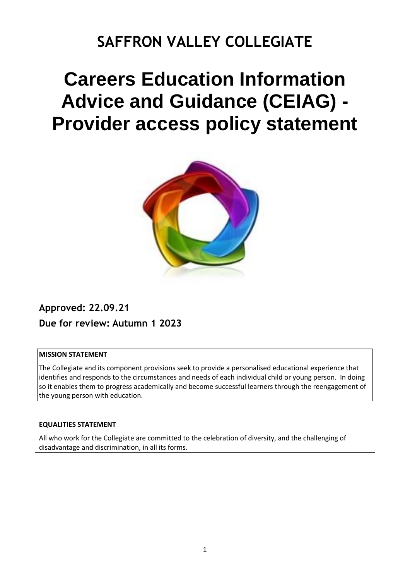## **SAFFRON VALLEY COLLEGIATE**

# **Careers Education Information Advice and Guidance (CEIAG) - Provider access policy statement**



### **Approved: 22.09.21 Due for review: Autumn 1 2023**

#### **MISSION STATEMENT**

The Collegiate and its component provisions seek to provide a personalised educational experience that identifies and responds to the circumstances and needs of each individual child or young person. In doing so it enables them to progress academically and become successful learners through the reengagement of the young person with education.

#### **EQUALITIES STATEMENT**

All who work for the Collegiate are committed to the celebration of diversity, and the challenging of disadvantage and discrimination, in all its forms.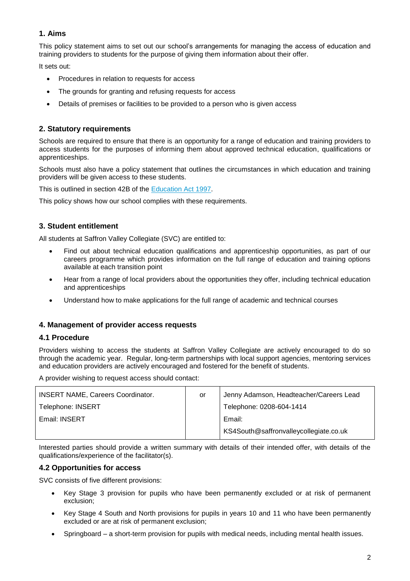#### **1. Aims**

This policy statement aims to set out our school's arrangements for managing the access of education and training providers to students for the purpose of giving them information about their offer.

It sets out:

- Procedures in relation to requests for access
- The grounds for granting and refusing requests for access
- Details of premises or facilities to be provided to a person who is given access

#### **2. Statutory requirements**

Schools are required to ensure that there is an opportunity for a range of education and training providers to access students for the purposes of informing them about approved technical education, qualifications or apprenticeships.

Schools must also have a policy statement that outlines the circumstances in which education and training providers will be given access to these students.

This is outlined in section 42B of the [Education Act 1997.](https://www.legislation.gov.uk/ukpga/1997/44/section/42B)

This policy shows how our school complies with these requirements.

#### **3. Student entitlement**

All students at Saffron Valley Collegiate (SVC) are entitled to:

- Find out about technical education qualifications and apprenticeship opportunities, as part of our careers programme which provides information on the full range of education and training options available at each transition point
- Hear from a range of local providers about the opportunities they offer, including technical education and apprenticeships
- Understand how to make applications for the full range of academic and technical courses

#### **4. Management of provider access requests**

#### **4.1 Procedure**

Providers wishing to access the students at Saffron Valley Collegiate are actively encouraged to do so through the academic year. Regular, long-term partnerships with local support agencies, mentoring services and education providers are actively encouraged and fostered for the benefit of students.

A provider wishing to request access should contact:

| <b>INSERT NAME, Careers Coordinator.</b> | or | Jenny Adamson, Headteacher/Careers Lead |  |
|------------------------------------------|----|-----------------------------------------|--|
| <b>Telephone: INSERT</b>                 |    | Telephone: 0208-604-1414                |  |
| Email: INSERT                            |    | Email:                                  |  |
|                                          |    | KS4South@saffronvalleycollegiate.co.uk  |  |

Interested parties should provide a written summary with details of their intended offer, with details of the qualifications/experience of the facilitator(s).

#### **4.2 Opportunities for access**

SVC consists of five different provisions:

- Key Stage 3 provision for pupils who have been permanently excluded or at risk of permanent exclusion;
- Key Stage 4 South and North provisions for pupils in years 10 and 11 who have been permanently excluded or are at risk of permanent exclusion;
- Springboard a short-term provision for pupils with medical needs, including mental health issues.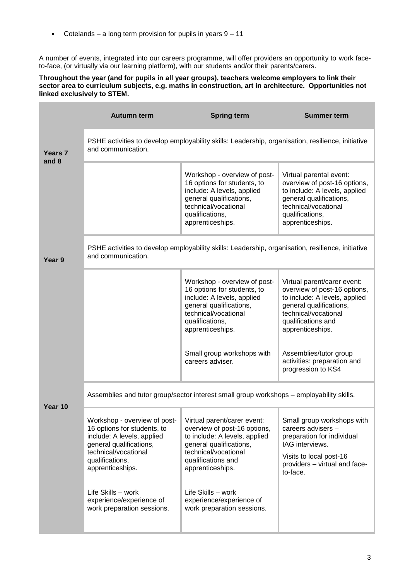• Cotelands – a long term provision for pupils in years  $9 - 11$ 

A number of events, integrated into our careers programme, will offer providers an opportunity to work faceto-face, (or virtually via our learning platform), with our students and/or their parents/carers.

#### **Throughout the year (and for pupils in all year groups), teachers welcome employers to link their sector area to curriculum subjects, e.g. maths in construction, art in architecture. Opportunities not linked exclusively to STEM.**

|         | <b>Autumn term</b>                                                                                                                                                                                                                                                  | <b>Spring term</b>                                                                                                                                                                                                                                                        | <b>Summer term</b>                                                                                                                                                                                                  |  |  |  |
|---------|---------------------------------------------------------------------------------------------------------------------------------------------------------------------------------------------------------------------------------------------------------------------|---------------------------------------------------------------------------------------------------------------------------------------------------------------------------------------------------------------------------------------------------------------------------|---------------------------------------------------------------------------------------------------------------------------------------------------------------------------------------------------------------------|--|--|--|
| Years 7 | PSHE activities to develop employability skills: Leadership, organisation, resilience, initiative<br>and communication.                                                                                                                                             |                                                                                                                                                                                                                                                                           |                                                                                                                                                                                                                     |  |  |  |
| and 8   |                                                                                                                                                                                                                                                                     | Workshop - overview of post-<br>16 options for students, to<br>include: A levels, applied<br>general qualifications,<br>technical/vocational<br>qualifications,<br>apprenticeships.                                                                                       | Virtual parental event:<br>overview of post-16 options,<br>to include: A levels, applied<br>general qualifications,<br>technical/vocational<br>qualifications,<br>apprenticeships.                                  |  |  |  |
| Year 9  | PSHE activities to develop employability skills: Leadership, organisation, resilience, initiative<br>and communication.                                                                                                                                             |                                                                                                                                                                                                                                                                           |                                                                                                                                                                                                                     |  |  |  |
|         |                                                                                                                                                                                                                                                                     | Workshop - overview of post-<br>16 options for students, to<br>include: A levels, applied<br>general qualifications,<br>technical/vocational<br>qualifications,<br>apprenticeships.<br>Small group workshops with                                                         | Virtual parent/carer event:<br>overview of post-16 options,<br>to include: A levels, applied<br>general qualifications,<br>technical/vocational<br>qualifications and<br>apprenticeships.<br>Assemblies/tutor group |  |  |  |
|         |                                                                                                                                                                                                                                                                     | careers adviser.                                                                                                                                                                                                                                                          | activities: preparation and<br>progression to KS4                                                                                                                                                                   |  |  |  |
| Year 10 | Assemblies and tutor group/sector interest small group workshops - employability skills.                                                                                                                                                                            |                                                                                                                                                                                                                                                                           |                                                                                                                                                                                                                     |  |  |  |
|         | Workshop - overview of post-<br>16 options for students, to<br>include: A levels, applied<br>general qualifications,<br>technical/vocational<br>qualifications,<br>apprenticeships.<br>Life Skills - work<br>experience/experience of<br>work preparation sessions. | Virtual parent/carer event:<br>overview of post-16 options,<br>to include: A levels, applied<br>general qualifications,<br>technical/vocational<br>qualifications and<br>apprenticeships.<br>Life Skills - work<br>experience/experience of<br>work preparation sessions. | Small group workshops with<br>careers advisers -<br>preparation for individual<br>IAG interviews.<br>Visits to local post-16<br>providers - virtual and face-<br>to-face.                                           |  |  |  |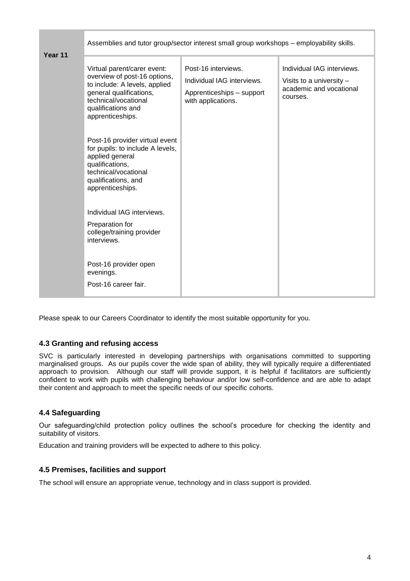|         | Assemblies and tutor group/sector interest small group workshops - employability skills.                                                                                                                                                                                                                                                                                                                                                                                                                    |                                                                                                      |                                                                                               |  |  |  |
|---------|-------------------------------------------------------------------------------------------------------------------------------------------------------------------------------------------------------------------------------------------------------------------------------------------------------------------------------------------------------------------------------------------------------------------------------------------------------------------------------------------------------------|------------------------------------------------------------------------------------------------------|-----------------------------------------------------------------------------------------------|--|--|--|
| Year 11 | Virtual parent/carer event:<br>overview of post-16 options,<br>to include: A levels, applied<br>general qualifications,<br>technical/vocational<br>qualifications and<br>apprenticeships.<br>Post-16 provider virtual event<br>for pupils: to include A levels,<br>applied general<br>qualifications,<br>technical/vocational<br>qualifications, and<br>apprenticeships.<br>Individual IAG interviews.<br>Preparation for<br>college/training provider<br>interviews.<br>Post-16 provider open<br>evenings. | Post-16 interviews.<br>Individual IAG interviews.<br>Apprenticeships - support<br>with applications. | Individual IAG interviews.<br>Visits to a university -<br>academic and vocational<br>courses. |  |  |  |
|         | Post-16 career fair.                                                                                                                                                                                                                                                                                                                                                                                                                                                                                        |                                                                                                      |                                                                                               |  |  |  |

Please speak to our Careers Coordinator to identify the most suitable opportunity for you.

#### **4.3 Granting and refusing access**

SVC is particularly interested in developing partnerships with organisations committed to supporting marginalised groups. As our pupils cover the wide span of ability, they will typically require a differentiated approach to provision. Although our staff will provide support, it is helpful if facilitators are sufficiently confident to work with pupils with challenging behaviour and/or low self-confidence and are able to adapt their content and approach to meet the specific needs of our specific cohorts.

#### **4.4 Safeguarding**

Our safeguarding/child protection policy outlines the school's procedure for checking the identity and suitability of visitors.

Education and training providers will be expected to adhere to this policy.

#### **4.5 Premises, facilities and support**

The school will ensure an appropriate venue, technology and in class support is provided.